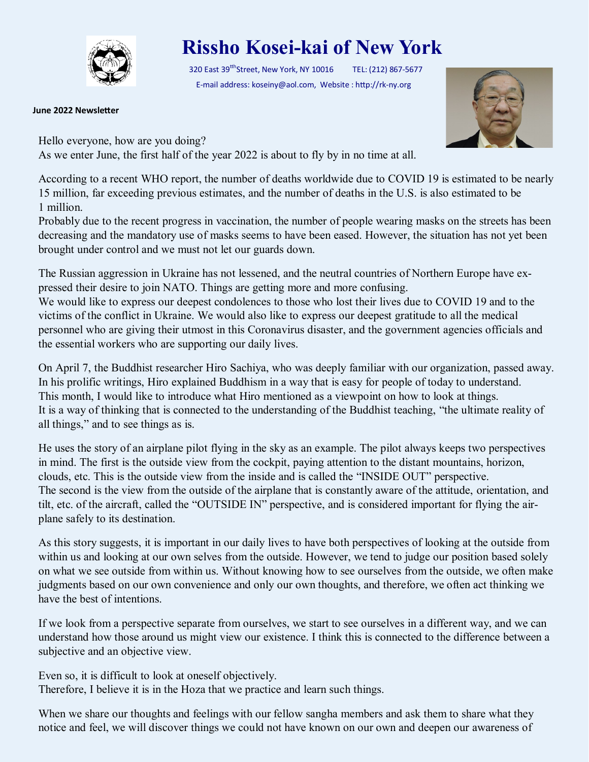

## **Rissho Kosei-kai of New York**

320 East 39<sup>tth</sup>Street, New York, NY 10016 TEL: (212) 867-5677 E-mail address: koseiny@aol.com, Website : http://rk-ny.org

**June 2022 Newsletter**



Hello everyone, how are you doing? As we enter June, the first half of the year 2022 is about to fly by in no time at all.

According to a recent WHO report, the number of deaths worldwide due to COVID 19 is estimated to be nearly 15 million, far exceeding previous estimates, and the number of deaths in the U.S. is also estimated to be 1 million.

Probably due to the recent progress in vaccination, the number of people wearing masks on the streets has been decreasing and the mandatory use of masks seems to have been eased. However, the situation has not yet been brought under control and we must not let our guards down.

The Russian aggression in Ukraine has not lessened, and the neutral countries of Northern Europe have expressed their desire to join NATO. Things are getting more and more confusing.

We would like to express our deepest condolences to those who lost their lives due to COVID 19 and to the victims of the conflict in Ukraine. We would also like to express our deepest gratitude to all the medical personnel who are giving their utmost in this Coronavirus disaster, and the government agencies officials and the essential workers who are supporting our daily lives.

On April 7, the Buddhist researcher Hiro Sachiya, who was deeply familiar with our organization, passed away. In his prolific writings, Hiro explained Buddhism in a way that is easy for people of today to understand. This month, I would like to introduce what Hiro mentioned as a viewpoint on how to look at things. It is a way of thinking that is connected to the understanding of the Buddhist teaching, "the ultimate reality of all things," and to see things as is.

He uses the story of an airplane pilot flying in the sky as an example. The pilot always keeps two perspectives in mind. The first is the outside view from the cockpit, paying attention to the distant mountains, horizon, clouds, etc. This is the outside view from the inside and is called the "INSIDE OUT" perspective. The second is the view from the outside of the airplane that is constantly aware of the attitude, orientation, and tilt, etc. of the aircraft, called the "OUTSIDE IN" perspective, and is considered important for flying the airplane safely to its destination.

As this story suggests, it is important in our daily lives to have both perspectives of looking at the outside from within us and looking at our own selves from the outside. However, we tend to judge our position based solely on what we see outside from within us. Without knowing how to see ourselves from the outside, we often make judgments based on our own convenience and only our own thoughts, and therefore, we often act thinking we have the best of intentions.

If we look from a perspective separate from ourselves, we start to see ourselves in a different way, and we can understand how those around us might view our existence. I think this is connected to the difference between a subjective and an objective view.

Even so, it is difficult to look at oneself objectively. Therefore, I believe it is in the Hoza that we practice and learn such things.

When we share our thoughts and feelings with our fellow sangha members and ask them to share what they notice and feel, we will discover things we could not have known on our own and deepen our awareness of